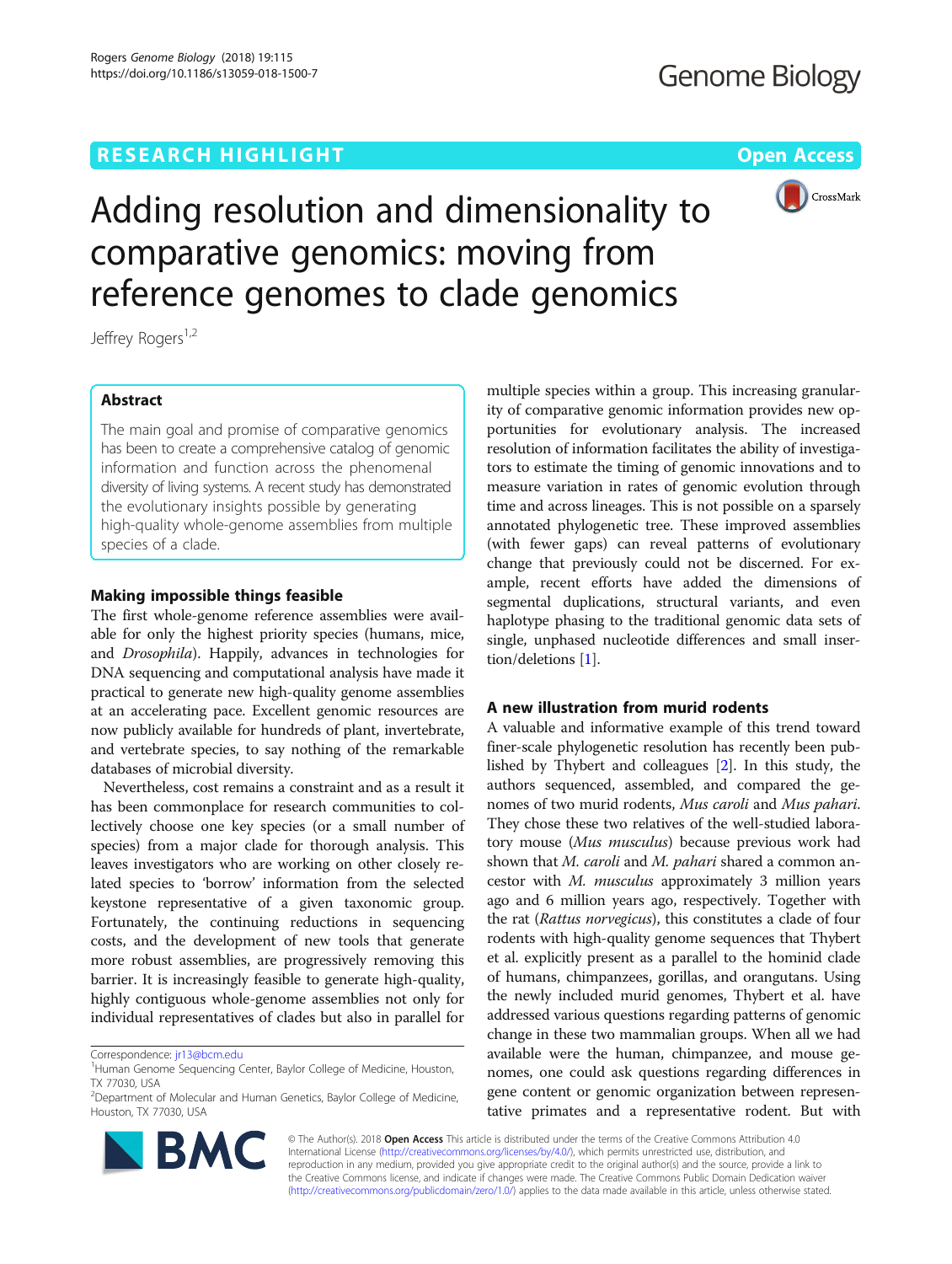## **RESEARCH HIGHLIGHT CONSUMING THE OPEN ACCESS**



# Adding resolution and dimensionality to comparative genomics: moving from reference genomes to clade genomics

Jeffrey Rogers<sup>1,2</sup>

## Abstract

The main goal and promise of comparative genomics has been to create a comprehensive catalog of genomic information and function across the phenomenal diversity of living systems. A recent study has demonstrated the evolutionary insights possible by generating high-quality whole-genome assemblies from multiple species of a clade.

## Making impossible things feasible

The first whole-genome reference assemblies were available for only the highest priority species (humans, mice, and Drosophila). Happily, advances in technologies for DNA sequencing and computational analysis have made it practical to generate new high-quality genome assemblies at an accelerating pace. Excellent genomic resources are now publicly available for hundreds of plant, invertebrate, and vertebrate species, to say nothing of the remarkable databases of microbial diversity.

Nevertheless, cost remains a constraint and as a result it has been commonplace for research communities to collectively choose one key species (or a small number of species) from a major clade for thorough analysis. This leaves investigators who are working on other closely related species to 'borrow' information from the selected keystone representative of a given taxonomic group. Fortunately, the continuing reductions in sequencing costs, and the development of new tools that generate more robust assemblies, are progressively removing this barrier. It is increasingly feasible to generate high-quality, highly contiguous whole-genome assemblies not only for individual representatives of clades but also in parallel for

<sup>&</sup>lt;sup>2</sup>Department of Molecular and Human Genetics, Baylor College of Medicine, Houston, TX 77030, USA



multiple species within a group. This increasing granularity of comparative genomic information provides new opportunities for evolutionary analysis. The increased resolution of information facilitates the ability of investigators to estimate the timing of genomic innovations and to measure variation in rates of genomic evolution through time and across lineages. This is not possible on a sparsely annotated phylogenetic tree. These improved assemblies (with fewer gaps) can reveal patterns of evolutionary change that previously could not be discerned. For example, recent efforts have added the dimensions of segmental duplications, structural variants, and even haplotype phasing to the traditional genomic data sets of single, unphased nucleotide differences and small insertion/deletions [[1](#page-2-0)].

## A new illustration from murid rodents

A valuable and informative example of this trend toward finer-scale phylogenetic resolution has recently been published by Thybert and colleagues [\[2\]](#page-2-0). In this study, the authors sequenced, assembled, and compared the genomes of two murid rodents, Mus caroli and Mus pahari. They chose these two relatives of the well-studied laboratory mouse (Mus musculus) because previous work had shown that M. caroli and M. pahari shared a common ancestor with M. musculus approximately 3 million years ago and 6 million years ago, respectively. Together with the rat (Rattus norvegicus), this constitutes a clade of four rodents with high-quality genome sequences that Thybert et al. explicitly present as a parallel to the hominid clade of humans, chimpanzees, gorillas, and orangutans. Using the newly included murid genomes, Thybert et al. have addressed various questions regarding patterns of genomic change in these two mammalian groups. When all we had available were the human, chimpanzee, and mouse genomes, one could ask questions regarding differences in gene content or genomic organization between representative primates and a representative rodent. But with

© The Author(s). 2018 Open Access This article is distributed under the terms of the Creative Commons Attribution 4.0 International License [\(http://creativecommons.org/licenses/by/4.0/](http://creativecommons.org/licenses/by/4.0/)), which permits unrestricted use, distribution, and reproduction in any medium, provided you give appropriate credit to the original author(s) and the source, provide a link to the Creative Commons license, and indicate if changes were made. The Creative Commons Public Domain Dedication waiver [\(http://creativecommons.org/publicdomain/zero/1.0/](http://creativecommons.org/publicdomain/zero/1.0/)) applies to the data made available in this article, unless otherwise stated.

Correspondence: [jr13@bcm.edu](mailto:jr13@bcm.edu)

<sup>&</sup>lt;sup>1</sup>Human Genome Sequencing Center, Baylor College of Medicine, Houston, TX 77030, USA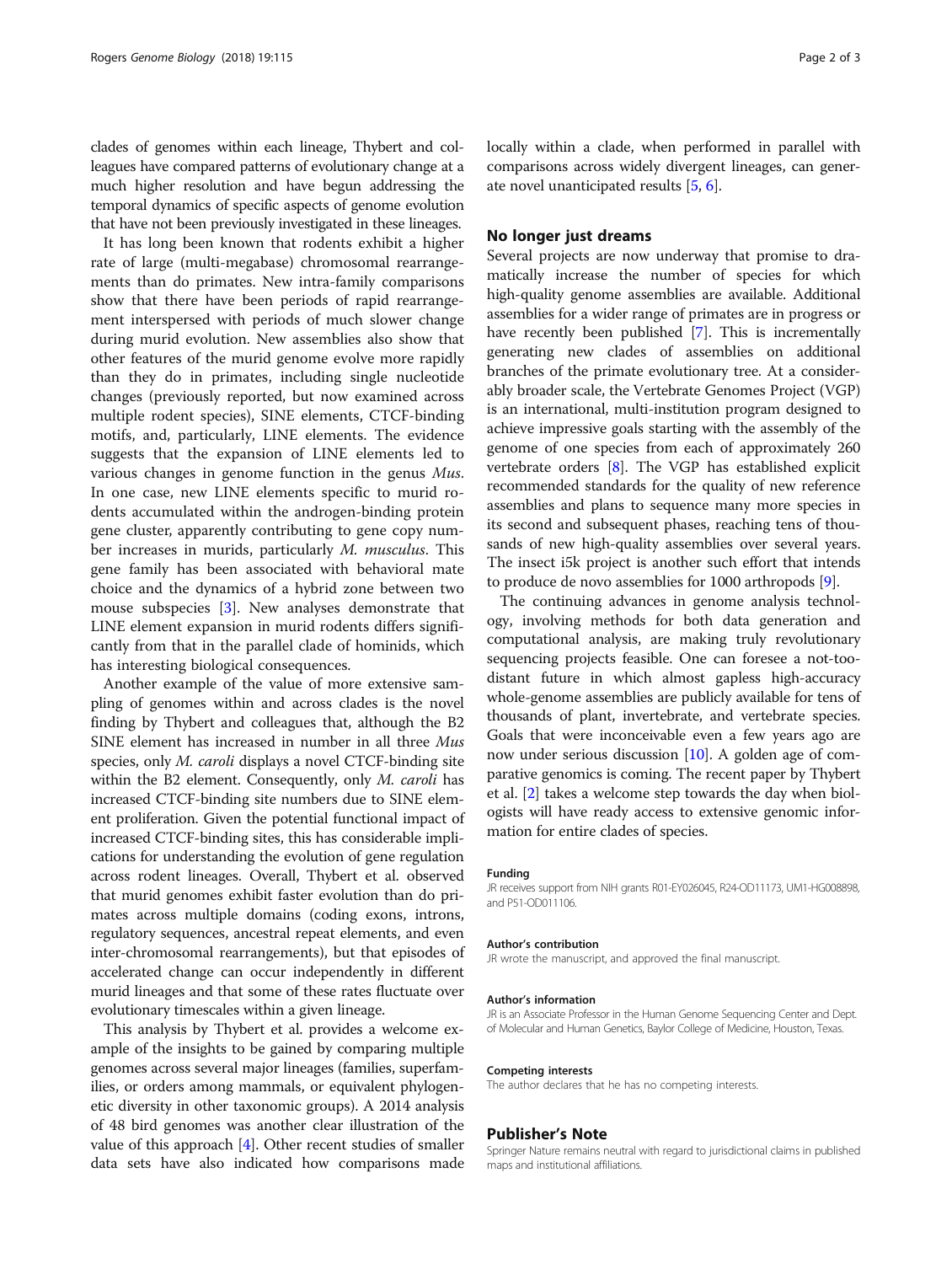clades of genomes within each lineage, Thybert and colleagues have compared patterns of evolutionary change at a much higher resolution and have begun addressing the temporal dynamics of specific aspects of genome evolution that have not been previously investigated in these lineages.

It has long been known that rodents exhibit a higher rate of large (multi-megabase) chromosomal rearrangements than do primates. New intra-family comparisons show that there have been periods of rapid rearrangement interspersed with periods of much slower change during murid evolution. New assemblies also show that other features of the murid genome evolve more rapidly than they do in primates, including single nucleotide changes (previously reported, but now examined across multiple rodent species), SINE elements, CTCF-binding motifs, and, particularly, LINE elements. The evidence suggests that the expansion of LINE elements led to various changes in genome function in the genus Mus. In one case, new LINE elements specific to murid rodents accumulated within the androgen-binding protein gene cluster, apparently contributing to gene copy number increases in murids, particularly M. musculus. This gene family has been associated with behavioral mate choice and the dynamics of a hybrid zone between two mouse subspecies [\[3](#page-2-0)]. New analyses demonstrate that LINE element expansion in murid rodents differs significantly from that in the parallel clade of hominids, which has interesting biological consequences.

Another example of the value of more extensive sampling of genomes within and across clades is the novel finding by Thybert and colleagues that, although the B2 SINE element has increased in number in all three Mus species, only *M. caroli* displays a novel CTCF-binding site within the B2 element. Consequently, only M. caroli has increased CTCF-binding site numbers due to SINE element proliferation. Given the potential functional impact of increased CTCF-binding sites, this has considerable implications for understanding the evolution of gene regulation across rodent lineages. Overall, Thybert et al. observed that murid genomes exhibit faster evolution than do primates across multiple domains (coding exons, introns, regulatory sequences, ancestral repeat elements, and even inter-chromosomal rearrangements), but that episodes of accelerated change can occur independently in different murid lineages and that some of these rates fluctuate over evolutionary timescales within a given lineage.

This analysis by Thybert et al. provides a welcome example of the insights to be gained by comparing multiple genomes across several major lineages (families, superfamilies, or orders among mammals, or equivalent phylogenetic diversity in other taxonomic groups). A 2014 analysis of 48 bird genomes was another clear illustration of the value of this approach  $[4]$ . Other recent studies of smaller data sets have also indicated how comparisons made locally within a clade, when performed in parallel with comparisons across widely divergent lineages, can generate novel unanticipated results [\[5](#page-2-0), [6\]](#page-2-0).

## No longer just dreams

Several projects are now underway that promise to dramatically increase the number of species for which high-quality genome assemblies are available. Additional assemblies for a wider range of primates are in progress or have recently been published [\[7](#page-2-0)]. This is incrementally generating new clades of assemblies on additional branches of the primate evolutionary tree. At a considerably broader scale, the Vertebrate Genomes Project (VGP) is an international, multi-institution program designed to achieve impressive goals starting with the assembly of the genome of one species from each of approximately 260 vertebrate orders [\[8\]](#page-2-0). The VGP has established explicit recommended standards for the quality of new reference assemblies and plans to sequence many more species in its second and subsequent phases, reaching tens of thousands of new high-quality assemblies over several years. The insect i5k project is another such effort that intends to produce de novo assemblies for 1000 arthropods [[9](#page-2-0)].

The continuing advances in genome analysis technology, involving methods for both data generation and computational analysis, are making truly revolutionary sequencing projects feasible. One can foresee a not-toodistant future in which almost gapless high-accuracy whole-genome assemblies are publicly available for tens of thousands of plant, invertebrate, and vertebrate species. Goals that were inconceivable even a few years ago are now under serious discussion [\[10\]](#page-2-0). A golden age of comparative genomics is coming. The recent paper by Thybert et al. [[2\]](#page-2-0) takes a welcome step towards the day when biologists will have ready access to extensive genomic information for entire clades of species.

#### Funding

JR receives support from NIH grants R01-EY026045, R24-OD11173, UM1-HG008898, and P51-OD011106.

#### Author's contribution

JR wrote the manuscript, and approved the final manuscript.

#### Author's information

JR is an Associate Professor in the Human Genome Sequencing Center and Dept. of Molecular and Human Genetics, Baylor College of Medicine, Houston, Texas.

#### Competing interests

The author declares that he has no competing interests.

## Publisher's Note

Springer Nature remains neutral with regard to jurisdictional claims in published maps and institutional affiliations.